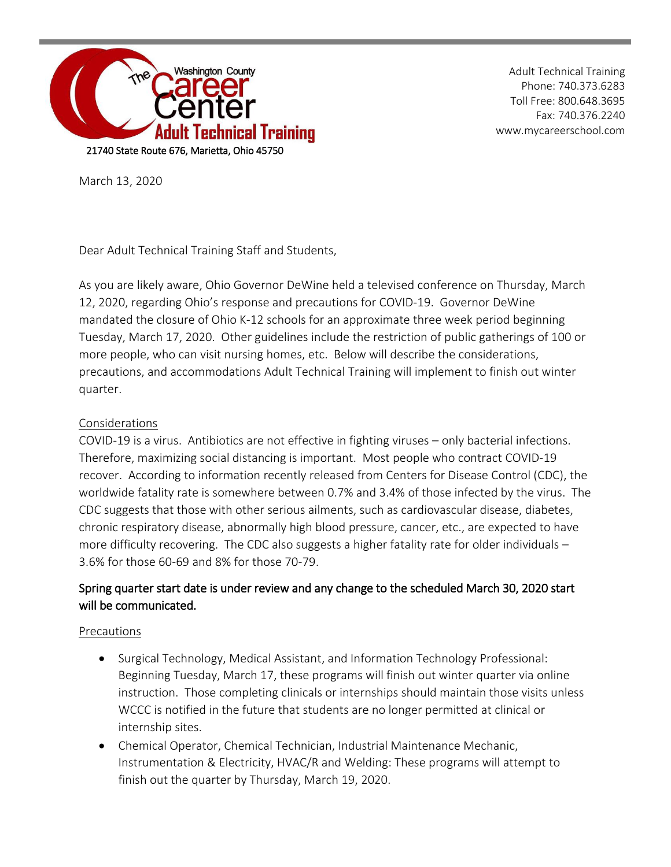

Adult Technical Training Phone: 740.373.6283 Toll Free: 800.648.3695 Fax: 740.376.2240 www.mycareerschool.com

March 13, 2020

Dear Adult Technical Training Staff and Students,

As you are likely aware, Ohio Governor DeWine held a televised conference on Thursday, March 12, 2020, regarding Ohio's response and precautions for COVID-19. Governor DeWine mandated the closure of Ohio K-12 schools for an approximate three week period beginning Tuesday, March 17, 2020. Other guidelines include the restriction of public gatherings of 100 or more people, who can visit nursing homes, etc. Below will describe the considerations, precautions, and accommodations Adult Technical Training will implement to finish out winter quarter.

## Considerations

COVID-19 is a virus. Antibiotics are not effective in fighting viruses – only bacterial infections. Therefore, maximizing social distancing is important. Most people who contract COVID-19 recover. According to information recently released from Centers for Disease Control (CDC), the worldwide fatality rate is somewhere between 0.7% and 3.4% of those infected by the virus. The CDC suggests that those with other serious ailments, such as cardiovascular disease, diabetes, chronic respiratory disease, abnormally high blood pressure, cancer, etc., are expected to have more difficulty recovering. The CDC also suggests a higher fatality rate for older individuals – 3.6% for those 60-69 and 8% for those 70-79.

## Spring quarter start date is under review and any change to the scheduled March 30, 2020 start will be communicated.

## Precautions

- Surgical Technology, Medical Assistant, and Information Technology Professional: Beginning Tuesday, March 17, these programs will finish out winter quarter via online instruction. Those completing clinicals or internships should maintain those visits unless WCCC is notified in the future that students are no longer permitted at clinical or internship sites.
- Chemical Operator, Chemical Technician, Industrial Maintenance Mechanic, Instrumentation & Electricity, HVAC/R and Welding: These programs will attempt to finish out the quarter by Thursday, March 19, 2020.